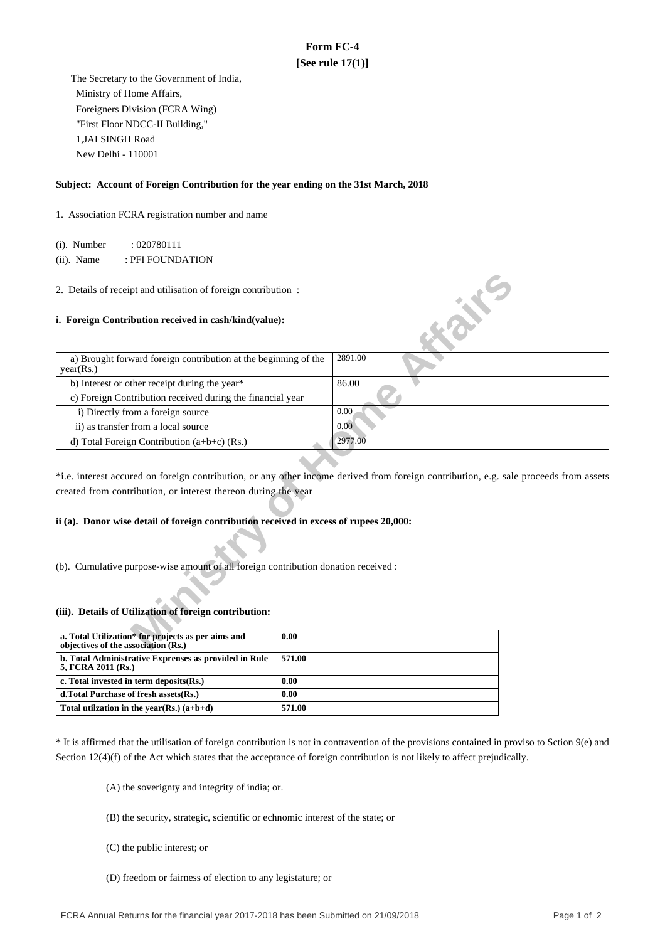# **Form FC-4 [See rule 17(1)]**

 The Secretary to the Government of India, Ministry of Home Affairs, Foreigners Division (FCRA Wing) "First Floor NDCC-II Building," 1,JAI SINGH Road New Delhi - 110001

## **Subject: Account of Foreign Contribution for the year ending on the 31st March, 2018**

1. Association FCRA registration number and name

(i). Number : 020780111

(ii). Name : PFI FOUNDATION

### **i. Foreign Contribution received in cash/kind(value):**

| 2. Details of receipt and utilisation of foreign contribution:                            |                                                                                                                                       |
|-------------------------------------------------------------------------------------------|---------------------------------------------------------------------------------------------------------------------------------------|
| i. Foreign Contribution received in cash/kind(value):                                     | <b>WAN</b>                                                                                                                            |
| a) Brought forward foreign contribution at the beginning of the<br>year(Rs.)              | 2891.00                                                                                                                               |
| b) Interest or other receipt during the year*                                             | 86.00                                                                                                                                 |
| c) Foreign Contribution received during the financial year                                |                                                                                                                                       |
| i) Directly from a foreign source                                                         | 0.00                                                                                                                                  |
| ii) as transfer from a local source                                                       | 0.00                                                                                                                                  |
| d) Total Foreign Contribution $(a+b+c)$ (Rs.)                                             | 2977.00                                                                                                                               |
| created from contribution, or interest thereon during the year                            | *i.e. interest accured on foreign contribution, or any other income derived from foreign contribution, e.g. sale proceeds from assets |
| ii (a). Donor wise detail of foreign contribution received in excess of rupees 20,000:    |                                                                                                                                       |
| (b). Cumulative purpose-wise amount of all foreign contribution donation received :       |                                                                                                                                       |
| (iii). Details of Utilization of foreign contribution:                                    |                                                                                                                                       |
| a. Total Utilization* for projects as per aims and<br>objectives of the association (Rs.) | 0.00                                                                                                                                  |

# **ii (a). Donor wise detail of foreign contribution received in excess of rupees 20,000:**

### **(iii). Details of Utilization of foreign contribution:**

| a. Total Utilization* for projects as per aims and<br>objectives of the association (Rs.) | 0.00   |
|-------------------------------------------------------------------------------------------|--------|
| b. Total Administrative Exprenses as provided in Rule<br>5, FCRA 2011 (Rs.)               | 571.00 |
| c. Total invested in term deposits(Rs.)                                                   | 0.00   |
| d. Total Purchase of fresh assets (Rs.)                                                   | 0.00   |
| Total utilization in the year(Rs.) $(a+b+d)$                                              | 571.00 |

\* It is affirmed that the utilisation of foreign contribution is not in contravention of the provisions contained in proviso to Sction 9(e) and Section 12(4)(f) of the Act which states that the acceptance of foreign contribution is not likely to affect prejudically.

(A) the soverignty and integrity of india; or.

- (B) the security, strategic, scientific or echnomic interest of the state; or
- (C) the public interest; or
- (D) freedom or fairness of election to any legistature; or